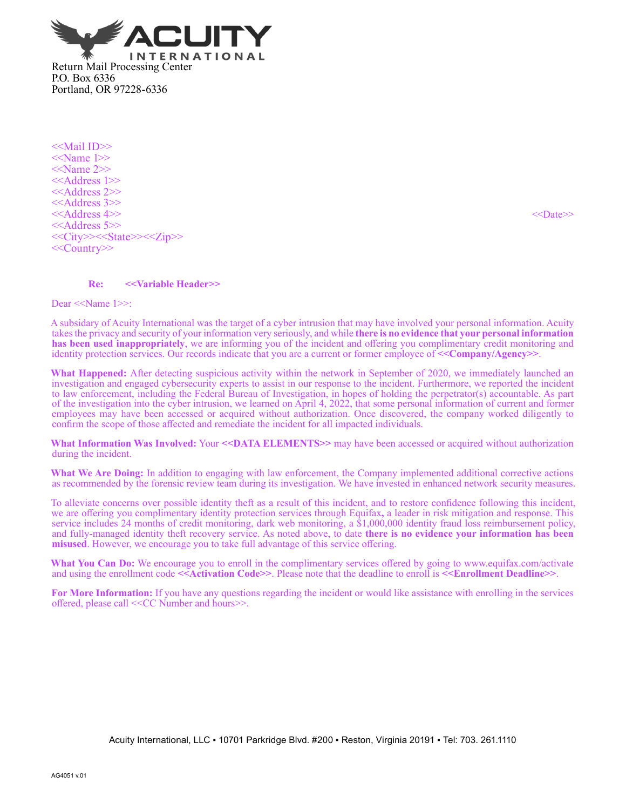

<<Mail ID>> <<Name 1>> <<Name 2>> <<Address 1>> <<Address 2>> <<Address 3>> <<Address 4>> <<Date>> <<Address 5>> <<City>><<State>><<Zip>> <<Country>>

## **Re: <<Variable Header>>**

Dear <<Name 1>>:

A subsidary of Acuity International was the target of a cyber intrusion that may have involved your personal information. Acuity takes the privacy and security of your information very seriously, and while **there is no evidence that your personal information has been used inappropriately**, we are informing you of the incident and offering you complimentary credit monitoring and identity protection services. Our records indicate that you are a current or former employee of **<<Company/Agency>>**.

**What Happened:** After detecting suspicious activity within the network in September of 2020, we immediately launched an investigation and engaged cybersecurity experts to assist in our response to the incident. Furthermore, we reported the incident to law enforcement, including the Federal Bureau of Investigation, in hopes of holding the perpetrator(s) accountable. As part of the investigation into the cyber intrusion, we learned on April 4, 2022, that some personal information of current and former employees may have been accessed or acquired without authorization. Once discovered, the company worked diligently to confirm the scope of those affected and remediate the incident for all impacted individuals.

**What Information Was Involved:** Your <<DATA ELEMENTS>> may have been accessed or acquired without authorization during the incident.

What We Are Doing: In addition to engaging with law enforcement, the Company implemented additional corrective actions as recommended by the forensic review team during its investigation. We have invested in enhanced network security measures.

To alleviate concerns over possible identity theft as a result of this incident, and to restore confidence following this incident, we are offering you complimentary identity protection services through Equifax**,** a leader in risk mitigation and response. This service includes 24 months of credit monitoring, dark web monitoring, a \$1,000,000 identity fraud loss reimbursement policy, and fully‑managed identity theft recovery service. As noted above, to date **there is no evidence your information has been misused**. However, we encourage you to take full advantage of this service offering.

**What You Can Do:** We encourage you to enroll in the complimentary services offered by going to www.equifax.com/activate and using the enrollment code **<<Activation Code>>**. Please note that the deadline to enroll is **<<Enrollment Deadline>>**.

**For More Information:** If you have any questions regarding the incident or would like assistance with enrolling in the services offered, please call <<CC Number and hours>>.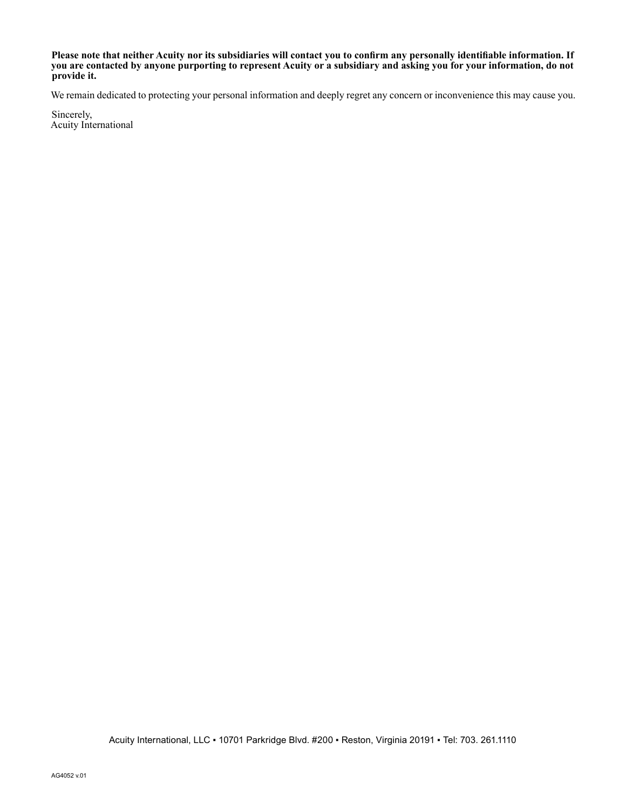**Please note that neither Acuity nor its subsidiaries will contact you to confirm any personally identifiable information. If you are contacted by anyone purporting to represent Acuity or a subsidiary and asking you for your information, do not provide it.**

We remain dedicated to protecting your personal information and deeply regret any concern or inconvenience this may cause you.

Sincerely, Acuity International